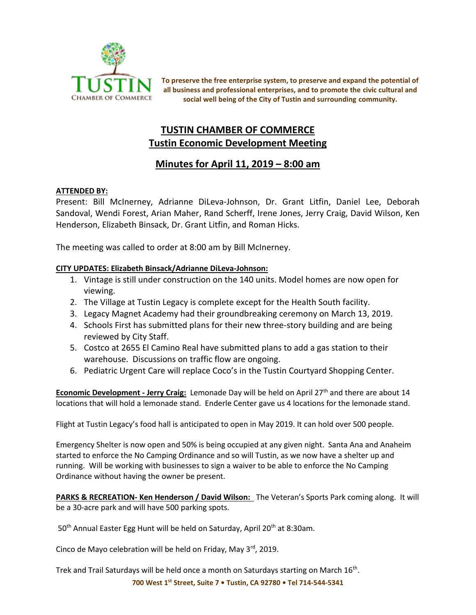

**To preserve the free enterprise system, to preserve and expand the potential of all business and professional enterprises, and to promote the civic cultural and social well being of the City of Tustin and surrounding community.**

# **TUSTIN CHAMBER OF COMMERCE Tustin Economic Development Meeting**

# **Minutes for April 11, 2019 – 8:00 am**

## **ATTENDED BY:**

Present: Bill McInerney, Adrianne DiLeva-Johnson, Dr. Grant Litfin, Daniel Lee, Deborah Sandoval, Wendi Forest, Arian Maher, Rand Scherff, Irene Jones, Jerry Craig, David Wilson, Ken Henderson, Elizabeth Binsack, Dr. Grant Litfin, and Roman Hicks.

The meeting was called to order at 8:00 am by Bill McInerney.

## **CITY UPDATES: Elizabeth Binsack/Adrianne DiLeva-Johnson:**

- 1. Vintage is still under construction on the 140 units. Model homes are now open for viewing.
- 2. The Village at Tustin Legacy is complete except for the Health South facility.
- 3. Legacy Magnet Academy had their groundbreaking ceremony on March 13, 2019.
- 4. Schools First has submitted plans for their new three-story building and are being reviewed by City Staff.
- 5. Costco at 2655 El Camino Real have submitted plans to add a gas station to their warehouse. Discussions on traffic flow are ongoing.
- 6. Pediatric Urgent Care will replace Coco's in the Tustin Courtyard Shopping Center.

Economic Development - Jerry Craig: Lemonade Day will be held on April 27<sup>th</sup> and there are about 14 locations that will hold a lemonade stand. Enderle Center gave us 4 locations for the lemonade stand.

Flight at Tustin Legacy's food hall is anticipated to open in May 2019. It can hold over 500 people.

Emergency Shelter is now open and 50% is being occupied at any given night. Santa Ana and Anaheim started to enforce the No Camping Ordinance and so will Tustin, as we now have a shelter up and running. Will be working with businesses to sign a waiver to be able to enforce the No Camping Ordinance without having the owner be present.

**PARKS & RECREATION- Ken Henderson / David Wilson:** The Veteran's Sports Park coming along. It will be a 30-acre park and will have 500 parking spots.

50<sup>th</sup> Annual Easter Egg Hunt will be held on Saturday, April 20<sup>th</sup> at 8:30am.

Cinco de Mayo celebration will be held on Friday, May 3rd, 2019.

Trek and Trail Saturdays will be held once a month on Saturdays starting on March 16<sup>th</sup>.

**700 West 1st Street, Suite 7 • Tustin, CA 92780 • Tel 714-544-5341**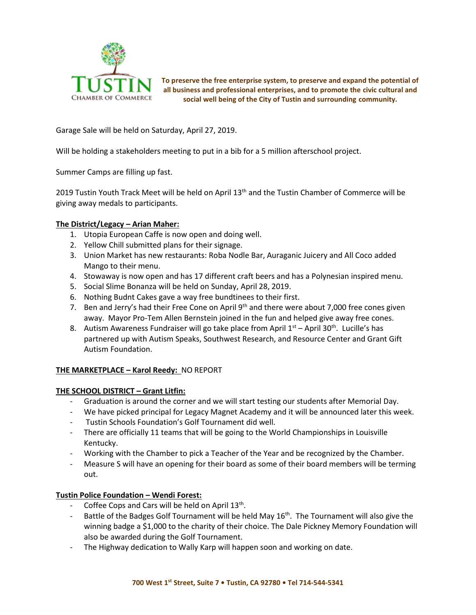

**To preserve the free enterprise system, to preserve and expand the potential of all business and professional enterprises, and to promote the civic cultural and social well being of the City of Tustin and surrounding community.**

Garage Sale will be held on Saturday, April 27, 2019.

Will be holding a stakeholders meeting to put in a bib for a 5 million afterschool project.

Summer Camps are filling up fast.

2019 Tustin Youth Track Meet will be held on April 13<sup>th</sup> and the Tustin Chamber of Commerce will be giving away medals to participants.

### **The District/Legacy – Arian Maher:**

- 1. Utopia European Caffe is now open and doing well.
- 2. Yellow Chill submitted plans for their signage.
- 3. Union Market has new restaurants: Roba Nodle Bar, Auraganic Juicery and All Coco added Mango to their menu.
- 4. Stowaway is now open and has 17 different craft beers and has a Polynesian inspired menu.
- 5. Social Slime Bonanza will be held on Sunday, April 28, 2019.
- 6. Nothing Budnt Cakes gave a way free bundtinees to their first.
- 7. Ben and Jerry's had their Free Cone on April  $9<sup>th</sup>$  and there were about 7,000 free cones given away. Mayor Pro-Tem Allen Bernstein joined in the fun and helped give away free cones.
- 8. Autism Awareness Fundraiser will go take place from April  $1<sup>st</sup>$  April 30<sup>th</sup>. Lucille's has partnered up with Autism Speaks, Southwest Research, and Resource Center and Grant Gift Autism Foundation.

## **THE MARKETPLACE – Karol Reedy:** NO REPORT

#### **THE SCHOOL DISTRICT – Grant Litfin:**

- Graduation is around the corner and we will start testing our students after Memorial Day.
- We have picked principal for Legacy Magnet Academy and it will be announced later this week.
- Tustin Schools Foundation's Golf Tournament did well.
- There are officially 11 teams that will be going to the World Championships in Louisville Kentucky.
- Working with the Chamber to pick a Teacher of the Year and be recognized by the Chamber.
- Measure S will have an opening for their board as some of their board members will be terming out.

## **Tustin Police Foundation – Wendi Forest:**

- Coffee Cops and Cars will be held on April  $13<sup>th</sup>$ .
- Battle of the Badges Golf Tournament will be held May 16<sup>th</sup>. The Tournament will also give the winning badge a \$1,000 to the charity of their choice. The Dale Pickney Memory Foundation will also be awarded during the Golf Tournament.
- The Highway dedication to Wally Karp will happen soon and working on date.